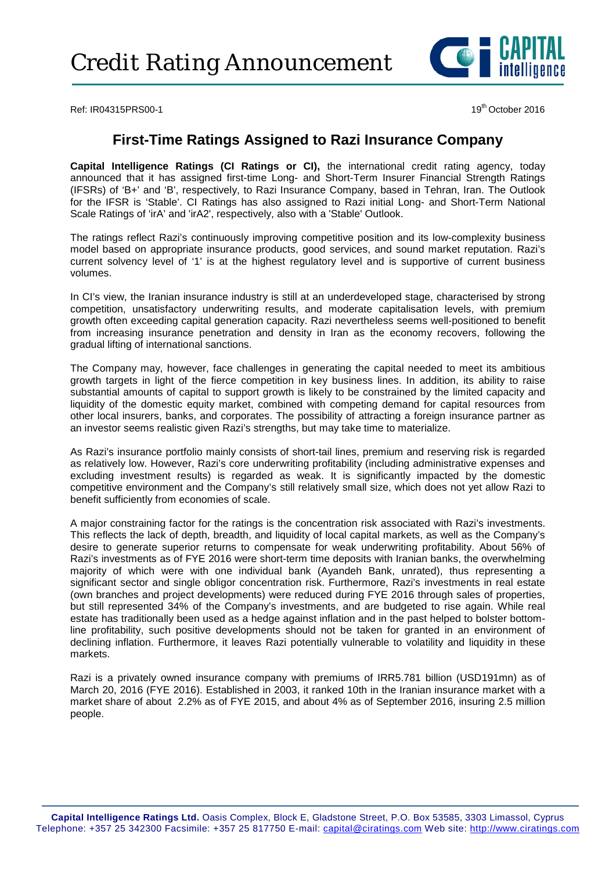

Ref: IR04315PRS00-1 19th October 2016

# **First-Time Ratings Assigned to Razi Insurance Company**

**Capital Intelligence Ratings (CI Ratings or CI),** the international credit rating agency, today announced that it has assigned first-time Long- and Short-Term Insurer Financial Strength Ratings (IFSRs) of 'B+' and 'B', respectively, to Razi Insurance Company, based in Tehran, Iran. The Outlook for the IFSR is 'Stable'. CI Ratings has also assigned to Razi initial Long- and Short-Term National Scale Ratings of 'irA' and 'irA2', respectively, also with a 'Stable' Outlook.

The ratings reflect Razi's continuously improving competitive position and its low-complexity business model based on appropriate insurance products, good services, and sound market reputation. Razi's current solvency level of '1' is at the highest regulatory level and is supportive of current business volumes.

In CI's view, the Iranian insurance industry is still at an underdeveloped stage, characterised by strong competition, unsatisfactory underwriting results, and moderate capitalisation levels, with premium growth often exceeding capital generation capacity. Razi nevertheless seems well-positioned to benefit from increasing insurance penetration and density in Iran as the economy recovers, following the gradual lifting of international sanctions.

The Company may, however, face challenges in generating the capital needed to meet its ambitious growth targets in light of the fierce competition in key business lines. In addition, its ability to raise substantial amounts of capital to support growth is likely to be constrained by the limited capacity and liquidity of the domestic equity market, combined with competing demand for capital resources from other local insurers, banks, and corporates. The possibility of attracting a foreign insurance partner as an investor seems realistic given Razi's strengths, but may take time to materialize.

As Razi's insurance portfolio mainly consists of short-tail lines, premium and reserving risk is regarded as relatively low. However, Razi's core underwriting profitability (including administrative expenses and excluding investment results) is regarded as weak. It is significantly impacted by the domestic competitive environment and the Company's still relatively small size, which does not yet allow Razi to benefit sufficiently from economies of scale.

A major constraining factor for the ratings is the concentration risk associated with Razi's investments. This reflects the lack of depth, breadth, and liquidity of local capital markets, as well as the Company's desire to generate superior returns to compensate for weak underwriting profitability. About 56% of Razi's investments as of FYE 2016 were short-term time deposits with Iranian banks, the overwhelming majority of which were with one individual bank (Ayandeh Bank, unrated), thus representing a significant sector and single obligor concentration risk. Furthermore, Razi's investments in real estate (own branches and project developments) were reduced during FYE 2016 through sales of properties, but still represented 34% of the Company's investments, and are budgeted to rise again. While real estate has traditionally been used as a hedge against inflation and in the past helped to bolster bottomline profitability, such positive developments should not be taken for granted in an environment of declining inflation. Furthermore, it leaves Razi potentially vulnerable to volatility and liquidity in these markets.

Razi is a privately owned insurance company with premiums of IRR5.781 billion (USD191mn) as of March 20, 2016 (FYE 2016). Established in 2003, it ranked 10th in the Iranian insurance market with a market share of about 2.2% as of FYE 2015, and about 4% as of September 2016, insuring 2.5 million people.